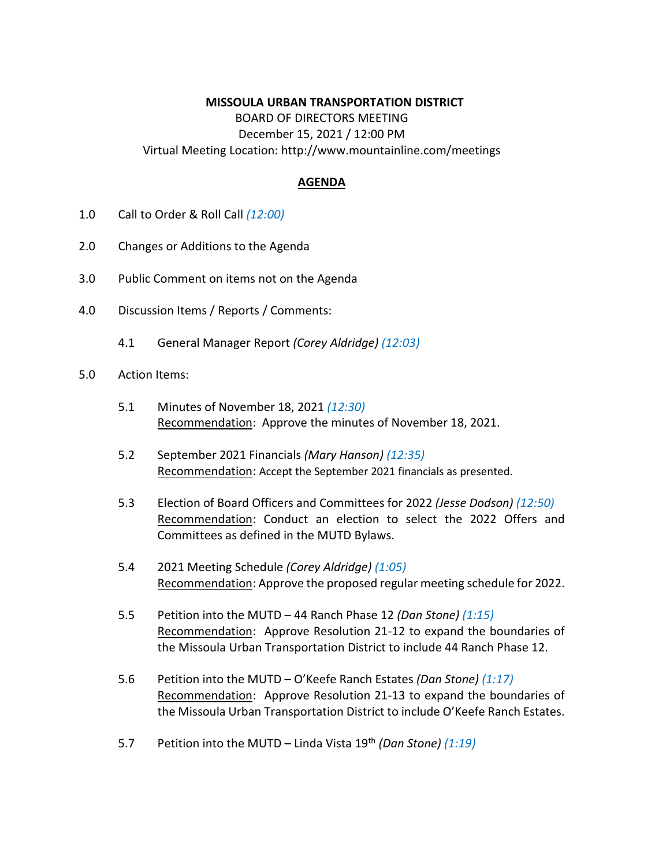## **MISSOULA URBAN TRANSPORTATION DISTRICT**

BOARD OF DIRECTORS MEETING December 15, 2021 / 12:00 PM Virtual Meeting Location: http://www.mountainline.com/meetings

## **AGENDA**

- 1.0 Call to Order & Roll Call *(12:00)*
- 2.0 Changes or Additions to the Agenda
- 3.0 Public Comment on items not on the Agenda
- 4.0 Discussion Items / Reports / Comments:
	- 4.1 General Manager Report *(Corey Aldridge) (12:03)*
- 5.0 Action Items:
	- 5.1 Minutes of November 18, 2021 *(12:30)* Recommendation: Approve the minutes of November 18, 2021.
	- 5.2 September 2021 Financials *(Mary Hanson) (12:35)* Recommendation: Accept the September 2021 financials as presented.
	- 5.3 Election of Board Officers and Committees for 2022 *(Jesse Dodson) (12:50)* Recommendation: Conduct an election to select the 2022 Offers and Committees as defined in the MUTD Bylaws.
	- 5.4 2021 Meeting Schedule *(Corey Aldridge) (1:05)* Recommendation: Approve the proposed regular meeting schedule for 2022.
	- 5.5 Petition into the MUTD 44 Ranch Phase 12 *(Dan Stone) (1:15)* Recommendation: Approve Resolution 21-12 to expand the boundaries of the Missoula Urban Transportation District to include 44 Ranch Phase 12.
	- 5.6 Petition into the MUTD O'Keefe Ranch Estates *(Dan Stone) (1:17)* Recommendation: Approve Resolution 21-13 to expand the boundaries of the Missoula Urban Transportation District to include O'Keefe Ranch Estates.
	- 5.7 Petition into the MUTD Linda Vista 19th *(Dan Stone) (1:19)*